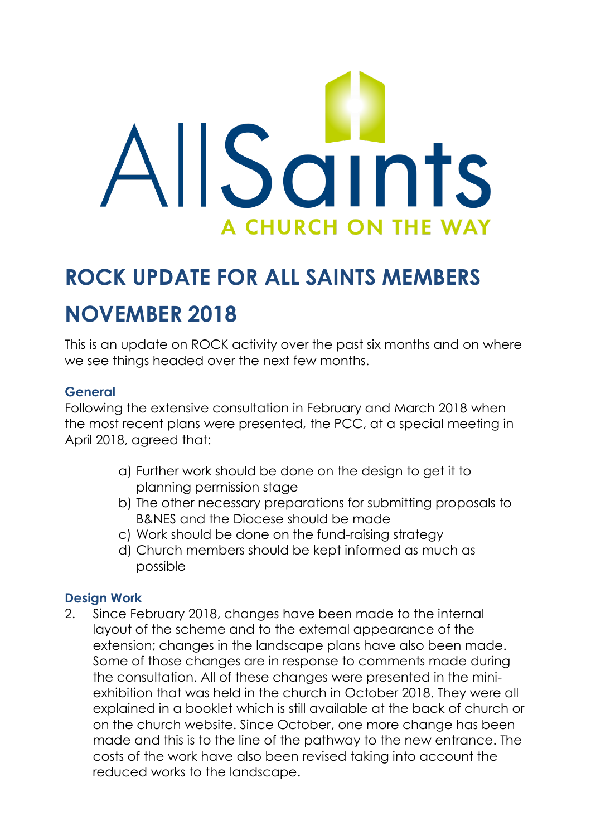

# **ROCK UPDATE FOR ALL SAINTS MEMBERS NOVEMBER 2018**

This is an update on ROCK activity over the past six months and on where we see things headed over the next few months.

## **General**

Following the extensive consultation in February and March 2018 when the most recent plans were presented, the PCC, at a special meeting in April 2018, agreed that:

- a) Further work should be done on the design to get it to planning permission stage
- b) The other necessary preparations for submitting proposals to B&NES and the Diocese should be made
- c) Work should be done on the fund-raising strategy
- d) Church members should be kept informed as much as possible

# **Design Work**

2. Since February 2018, changes have been made to the internal layout of the scheme and to the external appearance of the extension; changes in the landscape plans have also been made. Some of those changes are in response to comments made during the consultation. All of these changes were presented in the miniexhibition that was held in the church in October 2018. They were all explained in a booklet which is still available at the back of church or on the church website. Since October, one more change has been made and this is to the line of the pathway to the new entrance. The costs of the work have also been revised taking into account the reduced works to the landscape.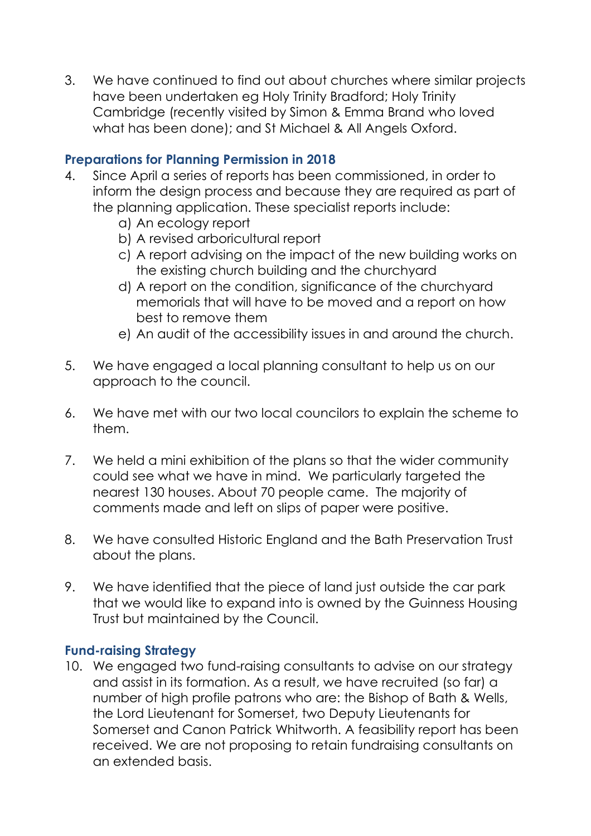3. We have continued to find out about churches where similar projects have been undertaken eg Holy Trinity Bradford; Holy Trinity Cambridge (recently visited by Simon & Emma Brand who loved what has been done); and St Michael & All Angels Oxford.

### **Preparations for Planning Permission in 2018**

- 4. Since April a series of reports has been commissioned, in order to inform the design process and because they are required as part of the planning application. These specialist reports include:
	- a) An ecology report
	- b) A revised arboricultural report
	- c) A report advising on the impact of the new building works on the existing church building and the churchyard
	- d) A report on the condition, significance of the churchyard memorials that will have to be moved and a report on how best to remove them
	- e) An audit of the accessibility issues in and around the church.
- 5. We have engaged a local planning consultant to help us on our approach to the council.
- 6. We have met with our two local councilors to explain the scheme to them.
- 7. We held a mini exhibition of the plans so that the wider community could see what we have in mind. We particularly targeted the nearest 130 houses. About 70 people came. The majority of comments made and left on slips of paper were positive.
- 8. We have consulted Historic England and the Bath Preservation Trust about the plans.
- 9. We have identified that the piece of land just outside the car park that we would like to expand into is owned by the Guinness Housing Trust but maintained by the Council.

#### **Fund-raising Strategy**

10. We engaged two fund-raising consultants to advise on our strategy and assist in its formation. As a result, we have recruited (so far) a number of high profile patrons who are: the Bishop of Bath & Wells, the Lord Lieutenant for Somerset, two Deputy Lieutenants for Somerset and Canon Patrick Whitworth. A feasibility report has been received. We are not proposing to retain fundraising consultants on an extended basis.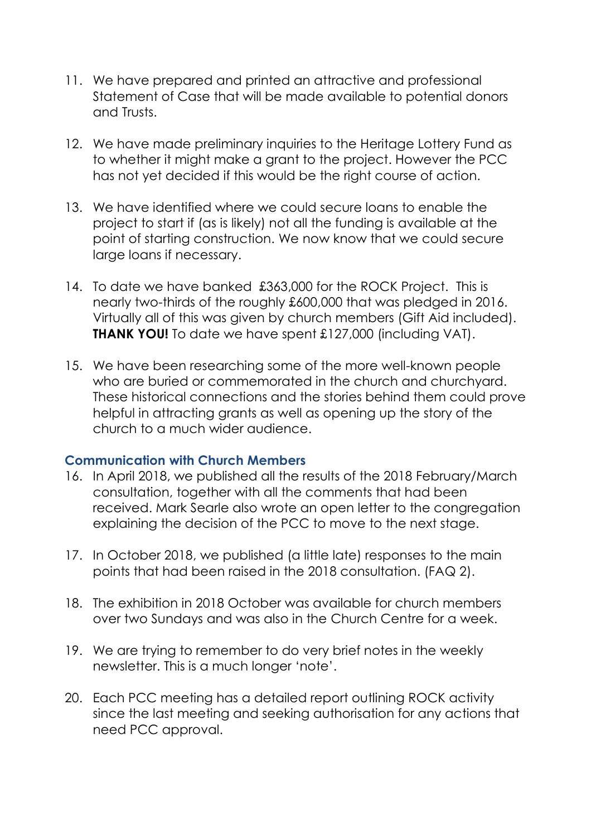- 11. We have prepared and printed an attractive and professional Statement of Case that will be made available to potential donors and Trusts.
- 12. We have made preliminary inquiries to the Heritage Lottery Fund as to whether it might make a grant to the project. However the PCC has not yet decided if this would be the right course of action.
- 13. We have identified where we could secure loans to enable the project to start if (as is likely) not all the funding is available at the point of starting construction. We now know that we could secure large loans if necessary.
- 14. To date we have banked £363,000 for the ROCK Project. This is nearly two-thirds of the roughly £600,000 that was pledged in 2016. Virtually all of this was given by church members (Gift Aid included). **THANK YOU!** To date we have spent £127,000 (including VAT).
- 15. We have been researching some of the more well-known people who are buried or commemorated in the church and churchyard. These historical connections and the stories behind them could prove helpful in attracting grants as well as opening up the story of the church to a much wider audience.

#### **Communication with Church Members**

- 16. In April 2018, we published all the results of the 2018 February/March consultation, together with all the comments that had been received. Mark Searle also wrote an open letter to the congregation explaining the decision of the PCC to move to the next stage.
- 17. In October 2018, we published (a little late) responses to the main points that had been raised in the 2018 consultation. (FAQ 2).
- 18. The exhibition in 2018 October was available for church members over two Sundays and was also in the Church Centre for a week.
- 19. We are trying to remember to do very brief notes in the weekly newsletter. This is a much longer 'note'.
- 20. Each PCC meeting has a detailed report outlining ROCK activity since the last meeting and seeking authorisation for any actions that need PCC approval.